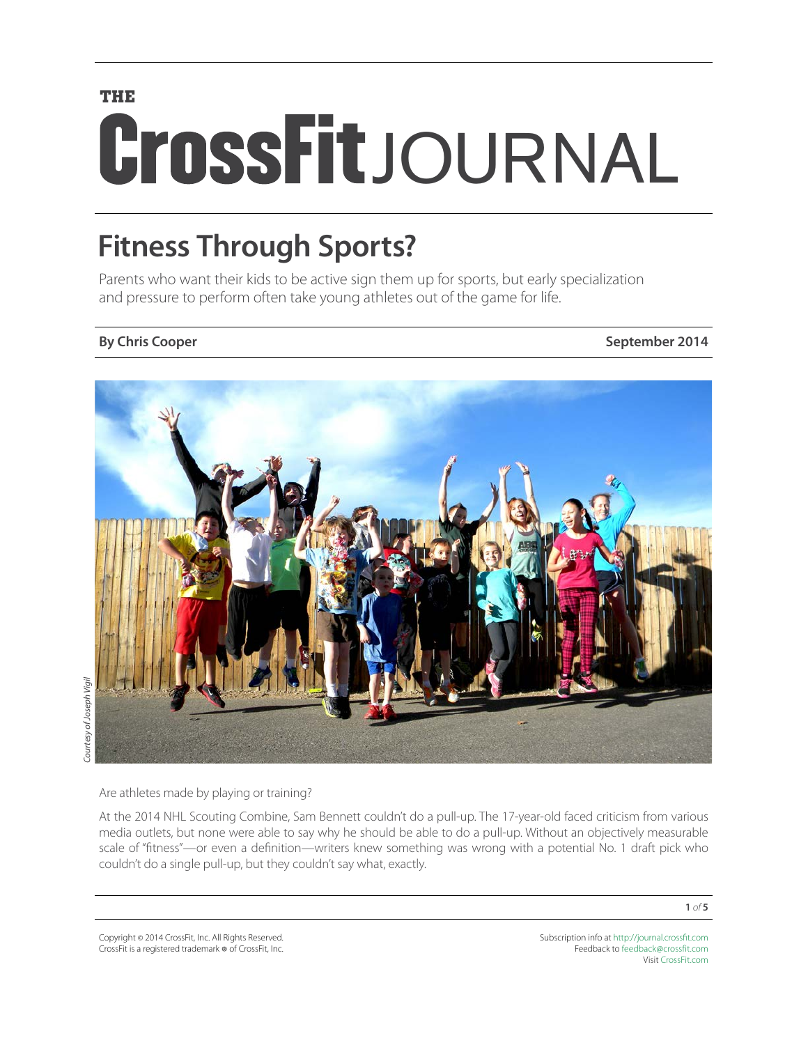# **THE** CrossFitJOURNAL

## **Fitness Through Sports?**

Parents who want their kids to be active sign them up for sports, but early specialization and pressure to perform often take young athletes out of the game for life.

**By Chris Cooper September 2014** 



*Courtesy of Joseph Vigil*  Courtesy of Joseph Vigil

Are athletes made by playing or training?

At the 2014 NHL Scouting Combine, Sam Bennett couldn't do a pull-up. The 17-year-old faced criticism from various media outlets, but none were able to say why he should be able to do a pull-up. Without an objectively measurable scale of "fitness"—or even a definition—writers knew something was wrong with a potential No. 1 draft pick who couldn't do a single pull-up, but they couldn't say what, exactly.

**1** *of* **5**

Copyright © 2014 CrossFit, Inc. All Rights Reserved. CrossFit is a registered trademark ® of CrossFit, Inc.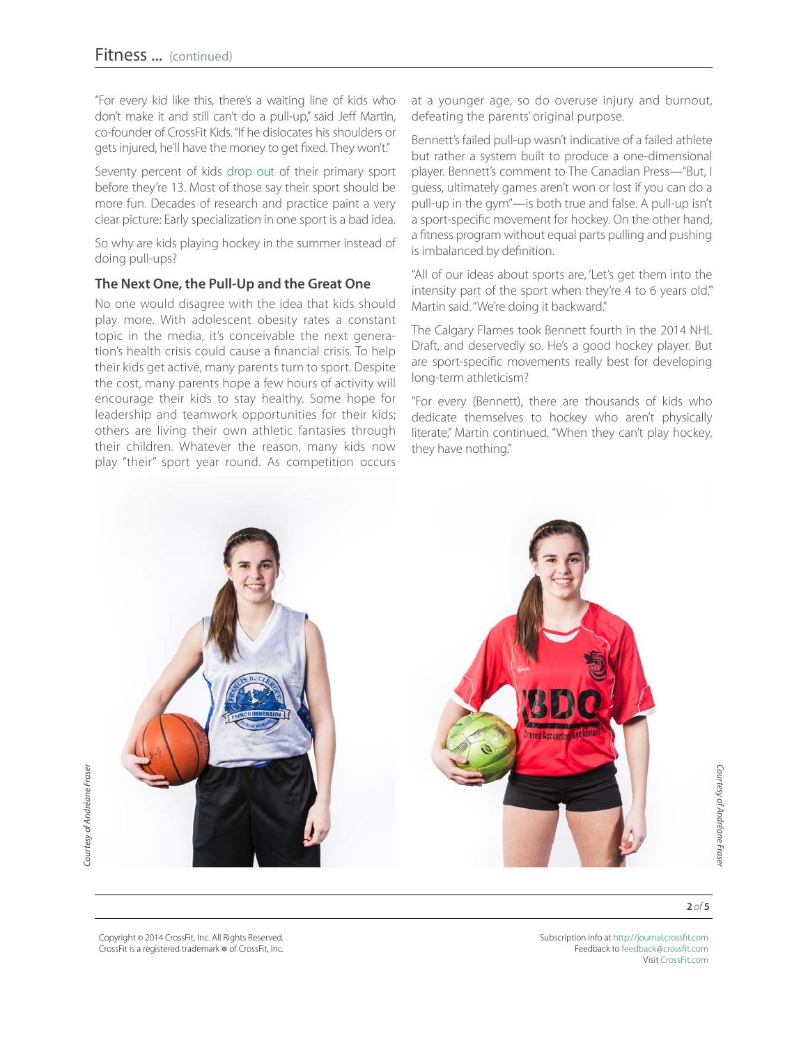"For every kid like this, there's a waiting line of kids who don't make it and still can't do a pull-up," said Jeff Martin, co-founder of CrossFit Kids. "If he dislocates his shoulders or gets injured, he'll have the money to get fixed. They won't."

Seventy percent of kids [drop out](https://www4.dcu.ie/shhp/downloads/CSPPA.pdf) of their primary sport before they're 13. Most of those say their sport should be more fun. Decades of research and practice paint a very clear picture: Early specialization in one sport is a bad idea.

So why are kids playing hockey in the summer instead of doing pull-ups?

#### **The Next One, the Pull-Up and the Great One**

No one would disagree with the idea that kids should play more. With adolescent obesity rates a constant topic in the media, it's conceivable the next generation's health crisis could cause a financial crisis. To help their kids get active, many parents turn to sport. Despite the cost, many parents hope a few hours of activity will encourage their kids to stay healthy. Some hope for leadership and teamwork opportunities for their kids; others are living their own athletic fantasies through their children. Whatever the reason, many kids now play "their" sport year round. As competition occurs

at a younger age, so do overuse injury and burnout, defeating the parents' original purpose.

Bennett's failed pull-up wasn't indicative of a failed athlete but rather a system built to produce a one-dimensional player. Bennett's comment to The Canadian Press—"But, I guess, ultimately games aren't won or lost if you can do a pull-up in the gym"—is both true and false. A pull-up isn't a sport-specific movement for hockey. On the other hand, a fitness program without equal parts pulling and pushing is imbalanced by definition.

"All of our ideas about sports are, 'Let's get them into the intensity part of the sport when they're 4 to 6 years old," Martin said. "We're doing it backward."

The Calgary Flames took Bennett fourth in the 2014 NHL Draft, and deservedly so. He's a good hockey player. But are sport-specific movements really best for developing long-term athleticism?

"For every (Bennett), there are thousands of kids who dedicate themselves to hockey who aren't physically literate," Martin continued. "When they can't play hockey, they have nothing."



**2** *of* **5**

Copyright © 2014 CrossFit, Inc. All Rights Reserved. CrossFit is a registered trademark ® of CrossFit, Inc.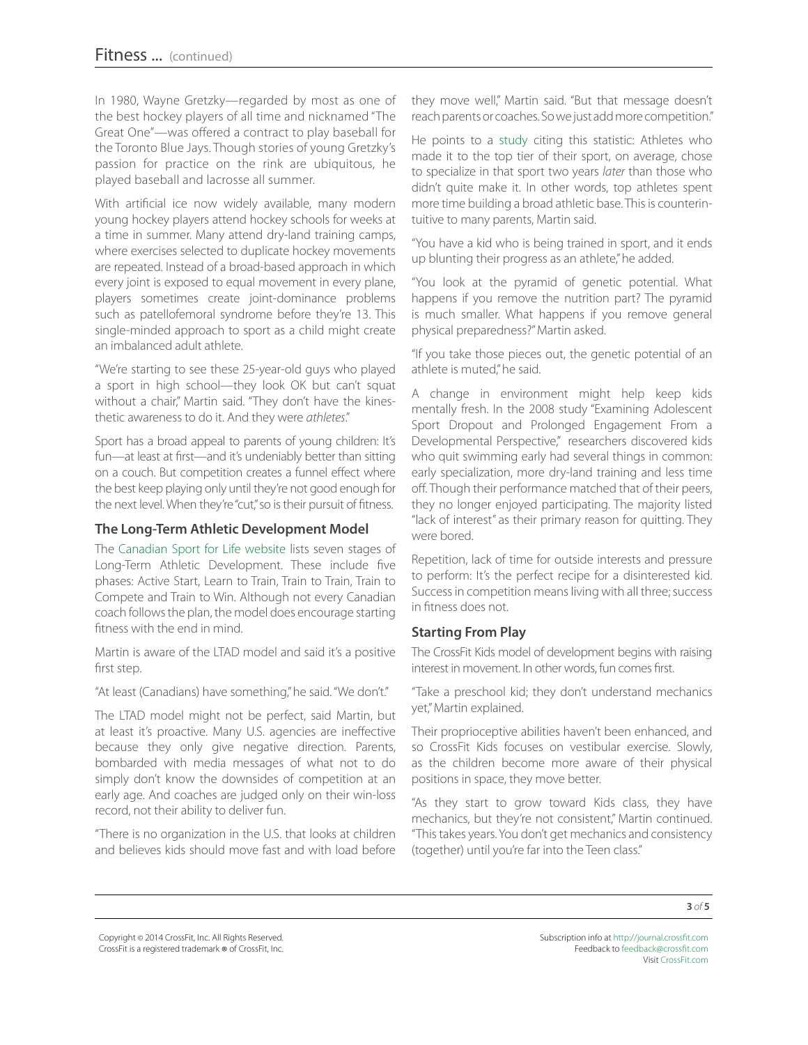In 1980, Wayne Gretzky—regarded by most as one of the best hockey players of all time and nicknamed "The Great One"—was offered a contract to play baseball for the Toronto Blue Jays. Though stories of young Gretzky's passion for practice on the rink are ubiquitous, he played baseball and lacrosse all summer.

With artificial ice now widely available, many modern young hockey players attend hockey schools for weeks at a time in summer. Many attend dry-land training camps, where exercises selected to duplicate hockey movements are repeated. Instead of a broad-based approach in which every joint is exposed to equal movement in every plane, players sometimes create joint-dominance problems such as patellofemoral syndrome before they're 13. This single-minded approach to sport as a child might create an imbalanced adult athlete.

"We're starting to see these 25-year-old guys who played a sport in high school—they look OK but can't squat without a chair," Martin said. "They don't have the kinesthetic awareness to do it. And they were *athletes*."

Sport has a broad appeal to parents of young children: It's fun—at least at first—and it's undeniably better than sitting on a couch. But competition creates a funnel effect where the best keep playing only until they're not good enough for the next level. When they're "cut," so is their pursuit of fitness.

### **The Long-Term Athletic Development Model**

The [Canadian Sport for Life website](http://canadiansportforlife.ca/learn-about-canadian-sport-life/ltad-stages) lists seven stages of Long-Term Athletic Development. These include five phases: Active Start, Learn to Train, Train to Train, Train to Compete and Train to Win. Although not every Canadian coach follows the plan, the model does encourage starting fitness with the end in mind.

Martin is aware of the LTAD model and said it's a positive first step.

"At least (Canadians) have something," he said. "We don't."

The LTAD model might not be perfect, said Martin, but at least it's proactive. Many U.S. agencies are ineffective because they only give negative direction. Parents, bombarded with media messages of what not to do simply don't know the downsides of competition at an early age. And coaches are judged only on their win-loss record, not their ability to deliver fun.

"There is no organization in the U.S. that looks at children and believes kids should move fast and with load before they move well," Martin said. "But that message doesn't reach parents or coaches. So we just add more competition."

He points to a [study](http://www.tandfonline.com/doi/abs/10.1080/17408980601060358#.U71DdBZ4WfQ) citing this statistic: Athletes who made it to the top tier of their sport, on average, chose to specialize in that sport two years *later* than those who didn't quite make it. In other words, top athletes spent more time building a broad athletic base. This is counterintuitive to many parents, Martin said.

"You have a kid who is being trained in sport, and it ends up blunting their progress as an athlete," he added.

"You look at the pyramid of genetic potential. What happens if you remove the nutrition part? The pyramid is much smaller. What happens if you remove general physical preparedness?" Martin asked.

"If you take those pieces out, the genetic potential of an athlete is muted," he said.

A change in environment might help keep kids mentally fresh. In the 2008 study "Examining Adolescent Sport Dropout and Prolonged Engagement From a Developmental Perspective," researchers discovered kids who quit swimming early had several things in common: early specialization, more dry-land training and less time off. Though their performance matched that of their peers, they no longer enjoyed participating. The majority listed "lack of interest" as their primary reason for quitting. They were bored.

Repetition, lack of time for outside interests and pressure to perform: It's the perfect recipe for a disinterested kid. Success in competition means living with all three; success in fitness does not.

### **Starting From Play**

The CrossFit Kids model of development begins with raising interest in movement. In other words, fun comes first.

"Take a preschool kid; they don't understand mechanics yet," Martin explained.

Their proprioceptive abilities haven't been enhanced, and so CrossFit Kids focuses on vestibular exercise. Slowly, as the children become more aware of their physical positions in space, they move better.

"As they start to grow toward Kids class, they have mechanics, but they're not consistent," Martin continued. "This takes years. You don't get mechanics and consistency (together) until you're far into the Teen class."

Copyright © 2014 CrossFit, Inc. All Rights Reserved. CrossFit is a registered trademark ® of CrossFit, Inc.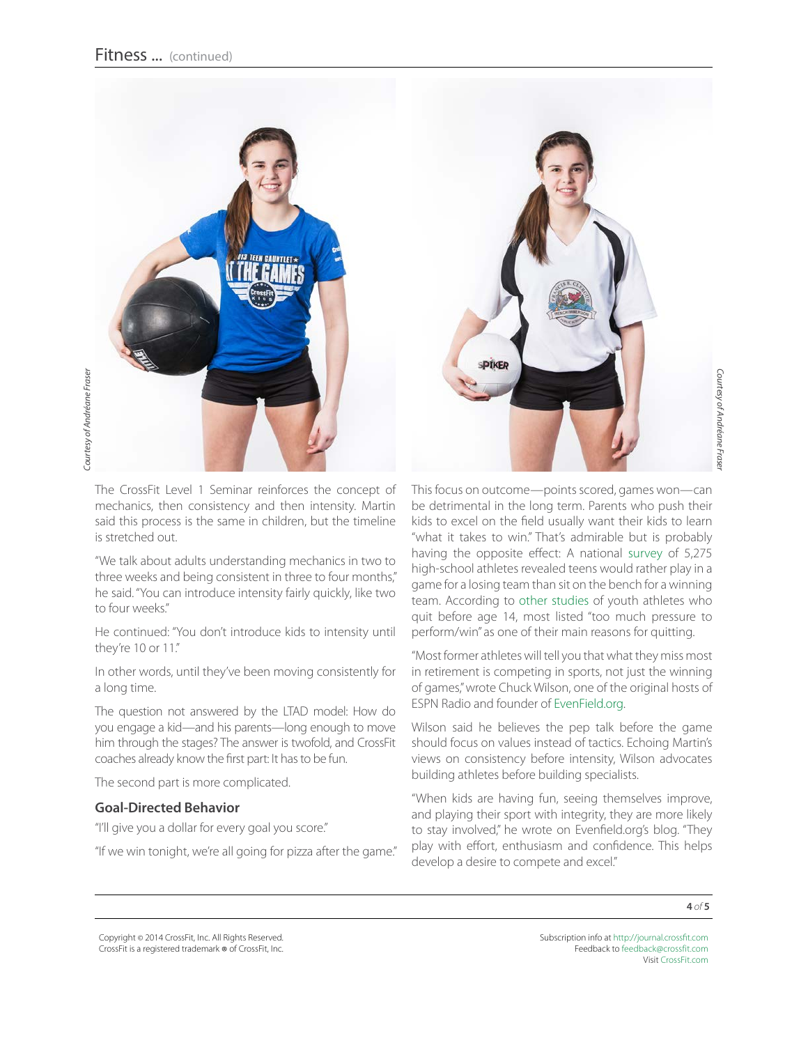

The CrossFit Level 1 Seminar reinforces the concept of mechanics, then consistency and then intensity. Martin said this process is the same in children, but the timeline is stretched out.

"We talk about adults understanding mechanics in two to three weeks and being consistent in three to four months," he said. "You can introduce intensity fairly quickly, like two to four weeks."

He continued: "You don't introduce kids to intensity until they're 10 or 11."

In other words, until they've been moving consistently for a long time.

The question not answered by the LTAD model: How do you engage a kid—and his parents—long enough to move him through the stages? The answer is twofold, and CrossFit coaches already know the first part: It has to be fun.

The second part is more complicated.

#### **Goal-Directed Behavior**

"I'll give you a dollar for every goal you score."

"If we win tonight, we're all going for pizza after the game."

This focus on outcome—points scored, games won—can be detrimental in the long term. Parents who push their kids to excel on the field usually want their kids to learn "what it takes to win." That's admirable but is probably having the opposite effect: A national [survey](http://josephsoninstitute.org/pdf/sports_survey_report_022107.pdf) of 5,275 high-school athletes revealed teens would rather play in a game for a losing team than sit on the bench for a winning team. According to [other studies](http://www.fiveringsathletics.com/storage/fyi/Withdrawal%20from%20Competitive%20Youth%20Sport.pdf) of youth athletes who quit before age 14, most listed "too much pressure to perform/win" as one of their main reasons for quitting.

"Most former athletes will tell you that what they miss most in retirement is competing in sports, not just the winning of games," wrote Chuck Wilson, one of the original hosts of ESPN Radio and founder of [EvenField.org](http://evenfield.org/2014/01/19/our-approach-to-youth-sports).

Wilson said he believes the pep talk before the game should focus on values instead of tactics. Echoing Martin's views on consistency before intensity, Wilson advocates building athletes before building specialists.

"When kids are having fun, seeing themselves improve, and playing their sport with integrity, they are more likely to stay involved," he wrote on Evenfield.org's blog. "They play with effort, enthusiasm and confidence. This helps develop a desire to compete and excel."

**4** *of* **5**

Copyright © 2014 CrossFit, Inc. All Rights Reserved. CrossFit is a registered trademark ® of CrossFit, Inc.